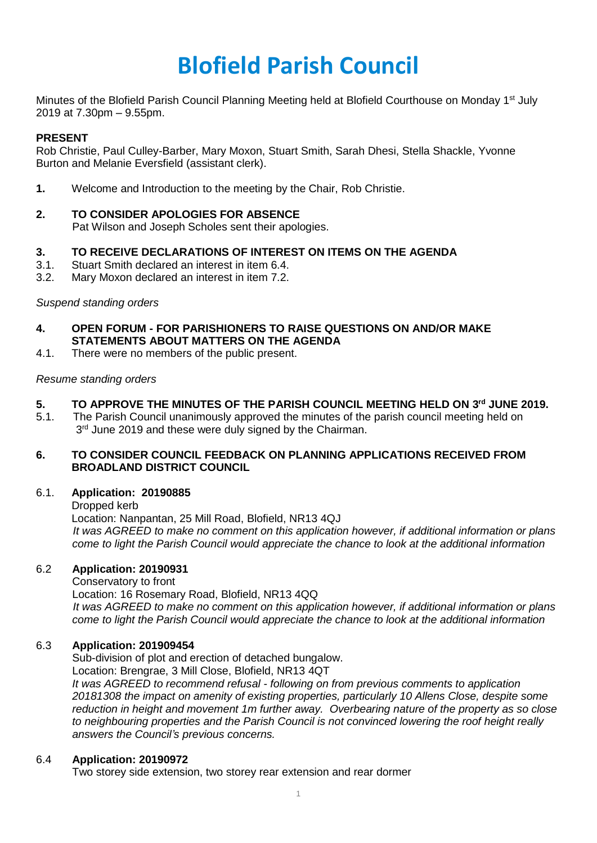# **Blofield Parish Council**

Minutes of the Blofield Parish Council Planning Meeting held at Blofield Courthouse on Monday 1<sup>st</sup> July 2019 at 7.30pm – 9.55pm.

## **PRESENT**

Rob Christie, Paul Culley-Barber, Mary Moxon, Stuart Smith, Sarah Dhesi, Stella Shackle, Yvonne Burton and Melanie Eversfield (assistant clerk).

**1.** Welcome and Introduction to the meeting by the Chair, Rob Christie.

# **2. TO CONSIDER APOLOGIES FOR ABSENCE**

Pat Wilson and Joseph Scholes sent their apologies.

# **3. TO RECEIVE DECLARATIONS OF INTEREST ON ITEMS ON THE AGENDA**

- 3.1. Stuart Smith declared an interest in item 6.4.
- 3.2. Mary Moxon declared an interest in item 7.2.

## *Suspend standing orders*

- **4. OPEN FORUM - FOR PARISHIONERS TO RAISE QUESTIONS ON AND/OR MAKE STATEMENTS ABOUT MATTERS ON THE AGENDA**
- 4.1. There were no members of the public present.

## *Resume standing orders*

## **5. TO APPROVE THE MINUTES OF THE PARISH COUNCIL MEETING HELD ON 3 rd JUNE 2019.**

5.1. The Parish Council unanimously approved the minutes of the parish council meeting held on 3<sup>rd</sup> June 2019 and these were duly signed by the Chairman.

#### **6. TO CONSIDER COUNCIL FEEDBACK ON PLANNING APPLICATIONS RECEIVED FROM BROADLAND DISTRICT COUNCIL**

## 6.1. **Application: 20190885**

Dropped kerb

Location: Nanpantan, 25 Mill Road, Blofield, NR13 4QJ  *It was AGREED to make no comment on this application however, if additional information or plans come to light the Parish Council would appreciate the chance to look at the additional information*

## 6.2 **Application: 20190931**

Conservatory to front Location: 16 Rosemary Road, Blofield, NR13 4QQ  *It was AGREED to make no comment on this application however, if additional information or plans come to light the Parish Council would appreciate the chance to look at the additional information*

## 6.3 **Application: 201909454**

Sub-division of plot and erection of detached bungalow. Location: Brengrae, 3 Mill Close, Blofield, NR13 4QT *It was AGREED to recommend refusal - following on from previous comments to application 20181308 the impact on amenity of existing properties, particularly 10 Allens Close, despite some reduction in height and movement 1m further away. Overbearing nature of the property as so close to neighbouring properties and the Parish Council is not convinced lowering the roof height really answers the Council's previous concerns.* 

## 6.4 **Application: 20190972**

Two storey side extension, two storey rear extension and rear dormer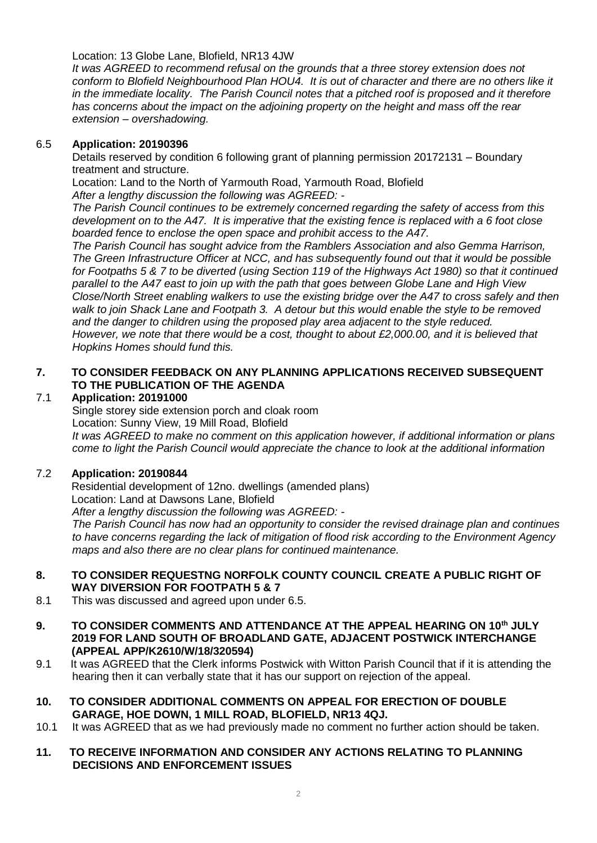Location: 13 Globe Lane, Blofield, NR13 4JW

*It was AGREED to recommend refusal on the grounds that a three storey extension does not conform to Blofield Neighbourhood Plan HOU4. It is out of character and there are no others like it in the immediate locality. The Parish Council notes that a pitched roof is proposed and it therefore has concerns about the impact on the adjoining property on the height and mass off the rear extension – overshadowing.*

#### 6.5 **Application: 20190396**

Details reserved by condition 6 following grant of planning permission 20172131 – Boundary treatment and structure.

Location: Land to the North of Yarmouth Road, Yarmouth Road, Blofield *After a lengthy discussion the following was AGREED: -*

*The Parish Council continues to be extremely concerned regarding the safety of access from this development on to the A47. It is imperative that the existing fence is replaced with a 6 foot close boarded fence to enclose the open space and prohibit access to the A47.*

*The Parish Council has sought advice from the Ramblers Association and also Gemma Harrison, The Green Infrastructure Officer at NCC, and has subsequently found out that it would be possible for Footpaths 5 & 7 to be diverted (using Section 119 of the Highways Act 1980) so that it continued parallel to the A47 east to join up with the path that goes between Globe Lane and High View Close/North Street enabling walkers to use the existing bridge over the A47 to cross safely and then walk to join Shack Lane and Footpath 3. A detour but this would enable the style to be removed and the danger to children using the proposed play area adjacent to the style reduced. However, we note that there would be a cost, thought to about £2,000.00, and it is believed that Hopkins Homes should fund this.* 

# **7. TO CONSIDER FEEDBACK ON ANY PLANNING APPLICATIONS RECEIVED SUBSEQUENT TO THE PUBLICATION OF THE AGENDA**

## 7.1 **Application: 20191000**

Single storey side extension porch and cloak room Location: Sunny View, 19 Mill Road, Blofield *It was AGREED to make no comment on this application however, if additional information or plans come to light the Parish Council would appreciate the chance to look at the additional information*

## 7.2 **Application: 20190844**

Residential development of 12no. dwellings (amended plans) Location: Land at Dawsons Lane, Blofield *After a lengthy discussion the following was AGREED: - The Parish Council has now had an opportunity to consider the revised drainage plan and continues to have concerns regarding the lack of mitigation of flood risk according to the Environment Agency maps and also there are no clear plans for continued maintenance.* 

#### **8. TO CONSIDER REQUESTNG NORFOLK COUNTY COUNCIL CREATE A PUBLIC RIGHT OF WAY DIVERSION FOR FOOTPATH 5 & 7**

- 8.1 This was discussed and agreed upon under 6.5.
- **9. TO CONSIDER COMMENTS AND ATTENDANCE AT THE APPEAL HEARING ON 10th JULY 2019 FOR LAND SOUTH OF BROADLAND GATE, ADJACENT POSTWICK INTERCHANGE (APPEAL APP/K2610/W/18/320594)**
- 9.1 It was AGREED that the Clerk informs Postwick with Witton Parish Council that if it is attending the hearing then it can verbally state that it has our support on rejection of the appeal.
- **10. TO CONSIDER ADDITIONAL COMMENTS ON APPEAL FOR ERECTION OF DOUBLE GARAGE, HOE DOWN, 1 MILL ROAD, BLOFIELD, NR13 4QJ.**
- 10.1 It was AGREED that as we had previously made no comment no further action should be taken.

#### **11. TO RECEIVE INFORMATION AND CONSIDER ANY ACTIONS RELATING TO PLANNING DECISIONS AND ENFORCEMENT ISSUES**